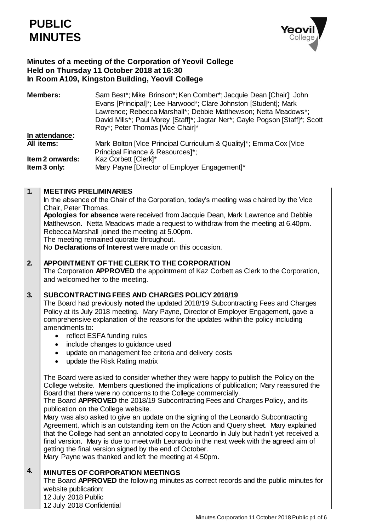

# **Minutes of a meeting of the Corporation of Yeovil College Held on Thursday 11 October 2018 at 16:30 In Room A109, Kingston Building, Yeovil College**

| <b>Members:</b>                 | Sam Best*; Mike Brinson*; Ken Comber*; Jacquie Dean [Chair]; John<br>Evans [Principal]*; Lee Harwood*; Clare Johnston [Student]; Mark<br>Lawrence; Rebecca Marshall*; Debbie Matthewson; Netta Meadows*;<br>David Mills*; Paul Morey [Staff]*; Jagtar Ner*; Gayle Pogson [Staff]*; Scott<br>Roy*; Peter Thomas [Vice Chair]* |
|---------------------------------|------------------------------------------------------------------------------------------------------------------------------------------------------------------------------------------------------------------------------------------------------------------------------------------------------------------------------|
| In attendance:                  |                                                                                                                                                                                                                                                                                                                              |
| All items:                      | Mark Bolton [Vice Principal Curriculum & Quality]*; Emma Cox [Vice                                                                                                                                                                                                                                                           |
| Item 2 onwards:<br>Item 3 only: | Principal Finance & Resources]*;<br>Kaz Corbett [Clerk]*<br>Mary Payne [Director of Employer Engagement]*                                                                                                                                                                                                                    |

#### **1. MEETING PRELIMINARIES**

In the absence of the Chair of the Corporation, today's meeting was chaired by the Vice Chair, Peter Thomas.

**Apologies for absence** were received from Jacquie Dean, Mark Lawrence and Debbie Matthewson. Netta Meadows made a request to withdraw from the meeting at 6.40pm. Rebecca Marshall joined the meeting at 5.00pm. The meeting remained quorate throughout.

No **Declarations of Interest** were made on this occasion.

#### **2. APPOINTMENT OF THE CLERK TO THE CORPORATION**

The Corporation **APPROVED** the appointment of Kaz Corbett as Clerk to the Corporation, and welcomed her to the meeting.

#### **3. SUBCONTRACTING FEES AND CHARGES POLICY 2018/19**

The Board had previously **noted** the updated 2018/19 Subcontracting Fees and Charges Policy at its July 2018 meeting. Mary Payne, Director of Employer Engagement, gave a comprehensive explanation of the reasons for the updates within the policy including amendments to:

- reflect ESFA funding rules
- include changes to guidance used
- update on management fee criteria and delivery costs
- update the Risk Rating matrix

The Board were asked to consider whether they were happy to publish the Policy on the College website. Members questioned the implications of publication; Mary reassured the Board that there were no concerns to the College commercially.

The Board **APPROVED** the 2018/19 Subcontracting Fees and Charges Policy, and its publication on the College website.

Mary was also asked to give an update on the signing of the Leonardo Subcontracting Agreement, which is an outstanding item on the Action and Query sheet. Mary explained that the College had sent an annotated copy to Leonardo in July but hadn't yet received a final version. Mary is due to meet with Leonardo in the next week with the agreed aim of getting the final version signed by the end of October.

Mary Payne was thanked and left the meeting at 4.50pm.

#### **4. MINUTES OF CORPORATION MEETINGS**

The Board **APPROVED** the following minutes as correct records and the public minutes for website publication:

- 12 July 2018 Public
- 12 July 2018 Confidential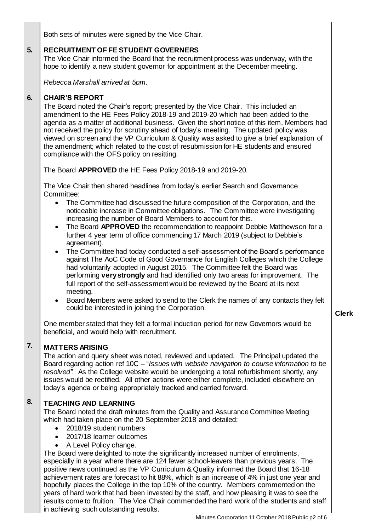Both sets of minutes were signed by the Vice Chair.

#### **5. RECRUITMENT OF FE STUDENT GOVERNERS**

The Vice Chair informed the Board that the recruitment process was underway, with the hope to identify a new student governor for appointment at the December meeting.

*Rebecca Marshall arrived at 5pm.*

#### **6. CHAIR'S REPORT**

The Board noted the Chair's report; presented by the Vice Chair. This included an amendment to the HE Fees Policy 2018-19 and 2019-20 which had been added to the agenda as a matter of additional business. Given the short notice of this item, Members had not received the policy for scrutiny ahead of today's meeting. The updated policy was viewed on screen and the VP Curriculum & Quality was asked to give a brief explanation of the amendment; which related to the cost of resubmission for HE students and ensured compliance with the OFS policy on resitting.

The Board **APPROVED** the HE Fees Policy 2018-19 and 2019-20.

The Vice Chair then shared headlines from today's earlier Search and Governance Committee:

- The Committee had discussed the future composition of the Corporation, and the noticeable increase in Committee obligations. The Committee were investigating increasing the number of Board Members to account for this.
- The Board **APPROVED** the recommendation to reappoint Debbie Matthewson for a further 4 year term of office commencing 17 March 2019 (subject to Debbie's agreement).
- The Committee had today conducted a self-assessment of the Board's performance against The AoC Code of Good Governance for English Colleges which the College had voluntarily adopted in August 2015. The Committee felt the Board was performing **very strongly** and had identified only two areas for improvement. The full report of the self-assessment would be reviewed by the Board at its next meeting.
- Board Members were asked to send to the Clerk the names of any contacts they felt could be interested in joining the Corporation.

One member stated that they felt a formal induction period for new Governors would be beneficial, and would help with recruitment.

#### **7. MATTERS ARISING**

The action and query sheet was noted, reviewed and updated. The Principal updated the Board regarding action ref 10C – "*Issues with website navigation to course information to be resolved"*. As the College website would be undergoing a total refurbishment shortly, any issues would be rectified. All other actions were either complete, included elsewhere on today's agenda or being appropriately tracked and carried forward.

#### **8. TEACHING AND LEARNING**

The Board noted the draft minutes from the Quality and Assurance Committee Meeting which had taken place on the 20 September 2018 and detailed:

- 2018/19 student numbers
- 2017/18 learner outcomes
- A Level Policy change.

The Board were delighted to note the significantly increased number of enrolments, especially in a year where there are 124 fewer school-leavers than previous years. The positive news continued as the VP Curriculum & Quality informed the Board that 16-18 achievement rates are forecast to hit 88%, which is an increase of 4% in just one year and hopefully places the College in the top 10% of the country. Members commented on the years of hard work that had been invested by the staff, and how pleasing it was to see the results come to fruition. The Vice Chair commended the hard work of the students and staff in achieving such outstanding results.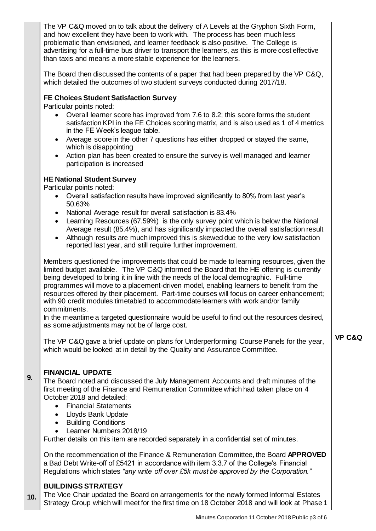The VP C&Q moved on to talk about the delivery of A Levels at the Gryphon Sixth Form, and how excellent they have been to work with. The process has been much less problematic than envisioned, and learner feedback is also positive. The College is advertising for a full-time bus driver to transport the learners, as this is more cost effective than taxis and means a more stable experience for the learners.

The Board then discussed the contents of a paper that had been prepared by the VP C&Q, which detailed the outcomes of two student surveys conducted during 2017/18.

# **FE Choices Student Satisfaction Survey**

Particular points noted:

- Overall learner score has improved from 7.6 to 8.2; this score forms the student satisfaction KPI in the FE Choices scoring matrix, and is also used as 1 of 4 metrics in the FE Week's league table.
- Average score in the other 7 questions has either dropped or stayed the same, which is disappointing
- Action plan has been created to ensure the survey is well managed and learner participation is increased

# **HE National Student Survey**

Particular points noted:

- Overall satisfaction results have improved significantly to 80% from last year's 50.63%
- National Average result for overall satisfaction is 83.4%
- Learning Resources (67.59%) is the only survey point which is below the National Average result (85.4%), and has significantly impacted the overall satisfaction result
- Although results are much improved this is skewed due to the very low satisfaction reported last year, and still require further improvement.

Members questioned the improvements that could be made to learning resources, given the limited budget available. The VP C&Q informed the Board that the HE offering is currently being developed to bring it in line with the needs of the local demographic. Full-time programmes will move to a placement-driven model, enabling learners to benefit from the resources offered by their placement. Part-time courses will focus on career enhancement; with 90 credit modules timetabled to accommodate learners with work and/or family commitments.

In the meantime a targeted questionnaire would be useful to find out the resources desired, as some adjustments may not be of large cost.

The VP C&Q gave a brief update on plans for Underperforming Course Panels for the year, which would be looked at in detail by the Quality and Assurance Committee.

## **VP C&Q**

### **FINANCIAL UPDATE**

**9.**

The Board noted and discussed the July Management Accounts and draft minutes of the first meeting of the Finance and Remuneration Committee which had taken place on 4 October 2018 and detailed:

- Financial Statements
- Lloyds Bank Update
- Building Conditions
- Learner Numbers 2018/19

Further details on this item are recorded separately in a confidential set of minutes.

On the recommendation of the Finance & Remuneration Committee, the Board **APPROVED**  a Bad Debt Write-off of £5421 in accordance with item 3.3.7 of the College's Financial Regulations which states *"any write off over £5k must be approved by the Corporation."*

# **BUILDINGS STRATEGY**

**10.** The Vice Chair updated the Board on arrangements for the newly formed Informal Estates Strategy Group which will meet for the first time on 18 October 2018 and will look at Phase 1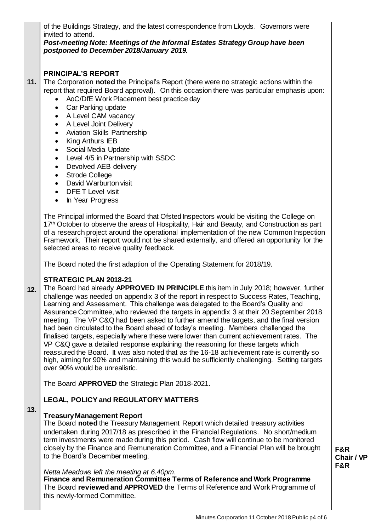of the Buildings Strategy, and the latest correspondence from Lloyds. Governors were invited to attend.

*Post-meeting Note: Meetings of the Informal Estates Strategy Group have been postponed to December 2018/January 2019.* 

# **PRINCIPAL'S REPORT**

- **11.** The Corporation **noted** the Principal's Report (there were no strategic actions within the report that required Board approval). On this occasion there was particular emphasis upon:
	- AoC/DfE Work Placement best practice day
	- Car Parking update
	- A Level CAM vacancy
	- A Level Joint Delivery
	- Aviation Skills Partnership
	- King Arthurs IEB
	- Social Media Update
	- Level 4/5 in Partnership with SSDC
	- Devolved AEB delivery
	- Strode College
	- David Warburton visit
	- DFE T Level visit
	- In Year Progress

The Principal informed the Board that Ofsted Inspectors would be visiting the College on 17<sup>th</sup> October to observe the areas of Hospitality, Hair and Beauty, and Construction as part of a research project around the operational implementation of the new Common Inspection Framework. Their report would not be shared externally, and offered an opportunity for the selected areas to receive quality feedback.

The Board noted the first adaption of the Operating Statement for 2018/19.

# **STRATEGIC PLAN 2018-21**

**12.** The Board had already **APPROVED IN PRINCIPLE** this item in July 2018; however, further challenge was needed on appendix 3 of the report in respect to Success Rates, Teaching, Learning and Assessment. This challenge was delegated to the Board's Quality and Assurance Committee, who reviewed the targets in appendix 3 at their 20 September 2018 meeting. The VP C&Q had been asked to further amend the targets, and the final version had been circulated to the Board ahead of today's meeting. Members challenged the finalised targets, especially where these were lower than current achievement rates. The VP C&Q gave a detailed response explaining the reasoning for these targets which reassured the Board. It was also noted that as the 16-18 achievement rate is currently so high, aiming for 90% and maintaining this would be sufficiently challenging. Setting targets over 90% would be unrealistic.

The Board **APPROVED** the Strategic Plan 2018-2021.

# **LEGAL, POLICY and REGULATORY MATTERS**

#### **13.**

# **Treasury Management Report**

The Board **noted** the Treasury Management Report which detailed treasury activities undertaken during 2017/18 as prescribed in the Financial Regulations. No short/medium term investments were made during this period. Cash flow will continue to be monitored closely by the Finance and Remuneration Committee, and a Financial Plan will be brought to the Board's December meeting.

*Netta Meadows left the meeting at 6.40pm.*

**Finance and Remuneration Committee Terms of Reference and Work Programme** The Board **reviewed and APPROVED** the Terms of Reference and Work Programme of this newly-formed Committee.

**F&R Chair / VP F&R**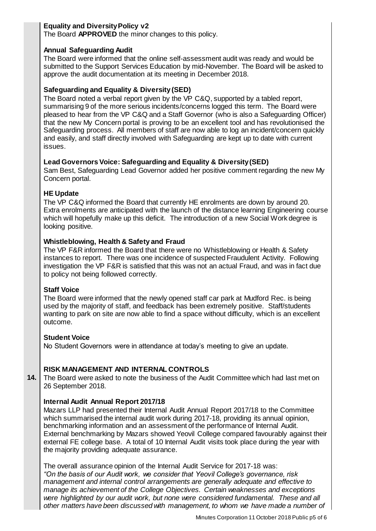## **Equality and Diversity Policy v2**

The Board **APPROVED** the minor changes to this policy.

## **Annual Safeguarding Audit**

The Board were informed that the online self-assessment audit was ready and would be submitted to the Support Services Education by mid-November. The Board will be asked to approve the audit documentation at its meeting in December 2018.

## **Safeguarding and Equality & Diversity (SED)**

The Board noted a verbal report given by the VP C&Q, supported by a tabled report, summarising 9 of the more serious incidents/concerns logged this term. The Board were pleased to hear from the VP C&Q and a Staff Governor (who is also a Safeguarding Officer) that the new My Concern portal is proving to be an excellent tool and has revolutionised the Safeguarding process. All members of staff are now able to log an incident/concern quickly and easily, and staff directly involved with Safeguarding are kept up to date with current issues.

## **Lead Governors Voice: Safeguarding and Equality & Diversity (SED)**

Sam Best, Safeguarding Lead Governor added her positive comment regarding the new My Concern portal.

## **HE Update**

The VP C&Q informed the Board that currently HE enrolments are down by around 20. Extra enrolments are anticipated with the launch of the distance learning Engineering course which will hopefully make up this deficit. The introduction of a new Social Work degree is looking positive.

## **Whistleblowing, Health & Safety and Fraud**

The VP F&R informed the Board that there were no Whistleblowing or Health & Safety instances to report. There was one incidence of suspected Fraudulent Activity. Following investigation the VP F&R is satisfied that this was not an actual Fraud, and was in fact due to policy not being followed correctly.

### **Staff Voice**

The Board were informed that the newly opened staff car park at Mudford Rec. is being used by the majority of staff, and feedback has been extremely positive. Staff/students wanting to park on site are now able to find a space without difficulty, which is an excellent outcome.

### **Student Voice**

No Student Governors were in attendance at today's meeting to give an update.

# **RISK MANAGEMENT AND INTERNAL CONTROLS**

**14.** The Board were asked to note the business of the Audit Committee which had last met on 26 September 2018.

### **Internal Audit Annual Report 2017/18**

Mazars LLP had presented their Internal Audit Annual Report 2017/18 to the Committee which summarised the internal audit work during 2017-18, providing its annual opinion, benchmarking information and an assessment of the performance of Internal Audit. External benchmarking by Mazars showed Yeovil College compared favourably against their external FE college base. A total of 10 Internal Audit visits took place during the year with the majority providing adequate assurance.

The overall assurance opinion of the Internal Audit Service for 2017-18 was: *"On the basis of our Audit work, we consider that Yeovil College's governance, risk management and internal control arrangements are generally adequate and effective to manage its achievement of the College Objectives. Certain weaknesses and exceptions were highlighted by our audit work, but none were considered fundamental. These and all other matters have been discussed with management, to whom we have made a number of*